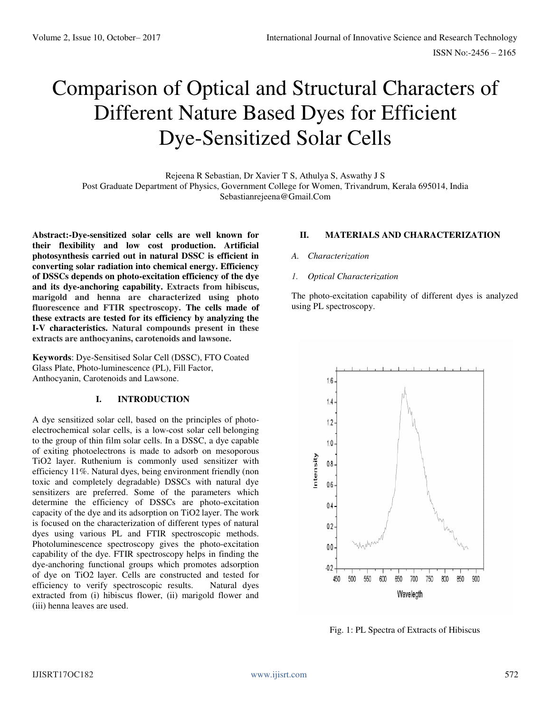# Comparison of Optical and Structural Characters of Different Nature Based Dyes for Efficient Dye-Sensitized Solar Cells

Rejeena R Sebastian, Dr Xavier T S, Athulya S, Aswathy J S Post Graduate Department of Physics, Government College for Women, Trivandrum, Kerala 695014, India Sebastianrejeena@Gmail.Com

**Abstract:-Dye-sensitized solar cells are well known for their flexibility and low cost production. Artificial photosynthesis carried out in natural DSSC is efficient in converting solar radiation into chemical energy. Efficiency of DSSCs depends on photo-excitation efficiency of the dye and its dye-anchoring capability. Extracts from hibiscus, marigold and henna are characterized using photo fluorescence and FTIR spectroscopy. The cells made of these extracts are tested for its efficiency by analyzing the I-V characteristics. Natural compounds present in these extracts are anthocyanins, carotenoids and lawsone.**

**Keywords**: Dye-Sensitised Solar Cell (DSSC), FTO Coated Glass Plate, Photo-luminescence (PL), Fill Factor, Anthocyanin, Carotenoids and Lawsone.

# **I. INTRODUCTION**

A dye sensitized solar cell, based on the principles of photoelectrochemical solar cells, is a low-cost solar cell belonging to the group of thin film solar cells. In a DSSC, a dye capable of exiting photoelectrons is made to adsorb on mesoporous TiO2 layer. Ruthenium is commonly used sensitizer with efficiency 11%. Natural dyes, being environment friendly (non toxic and completely degradable) DSSCs with natural dye sensitizers are preferred. Some of the parameters which determine the efficiency of DSSCs are photo-excitation capacity of the dye and its adsorption on TiO2 layer. The work is focused on the characterization of different types of natural dyes using various PL and FTIR spectroscopic methods. Photoluminescence spectroscopy gives the photo-excitation capability of the dye. FTIR spectroscopy helps in finding the dye-anchoring functional groups which promotes adsorption of dye on TiO2 layer. Cells are constructed and tested for efficiency to verify spectroscopic results. Natural dyes extracted from (i) hibiscus flower, (ii) marigold flower and (iii) henna leaves are used.

# **II. MATERIALS AND CHARACTERIZATION**

#### *A. Characterization*

#### *1. Optical Characterization*

The photo-excitation capability of different dyes is analyzed using PL spectroscopy.



Fig. 1: PL Spectra of Extracts of Hibiscus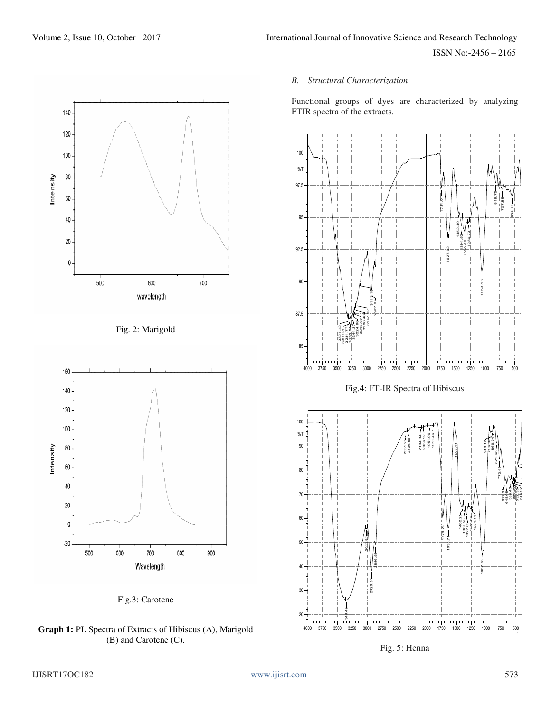

Fig. 2: Marigold



Fig.3: Carotene

**Graph 1:** PL Spectra of Extracts of Hibiscus (A), Marigold (B) and Carotene (C).

# *B. Structural Characterization*

Functional groups of dyes are characterized by analyzing FTIR spectra of the extracts.

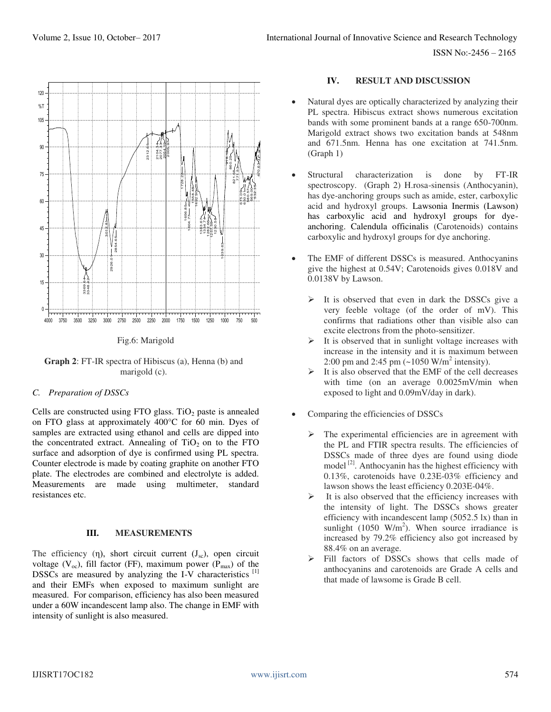



**Graph 2**: FT-IR spectra of Hibiscus (a), Henna (b) and marigold (c).

# *C. Preparation of DSSCs*

Cells are constructed using FTO glass. TiO<sub>2</sub> paste is annealed on FTO glass at approximately 400°C for 60 min. Dyes of samples are extracted using ethanol and cells are dipped into the concentrated extract. Annealing of  $TiO<sub>2</sub>$  on to the FTO surface and adsorption of dye is confirmed using PL spectra. Counter electrode is made by coating graphite on another FTO plate. The electrodes are combined and electrolyte is added. Measurements are made using multimeter, standard resistances etc.

# **III. MEASUREMENTS**

The efficiency (η), short circuit current  $(J_{sc})$ , open circuit voltage ( $V_{\infty}$ ), fill factor (FF), maximum power ( $P_{\text{max}}$ ) of the DSSCs are measured by analyzing the I-V characteristics [1] and their EMFs when exposed to maximum sunlight are measured. For comparison, efficiency has also been measured under a 60W incandescent lamp also. The change in EMF with intensity of sunlight is also measured.

# **IV. RESULT AND DISCUSSION**

- Natural dyes are optically characterized by analyzing their PL spectra. Hibiscus extract shows numerous excitation bands with some prominent bands at a range 650-700nm. Marigold extract shows two excitation bands at 548nm and 671.5nm. Henna has one excitation at 741.5nm. (Graph 1)
- Structural characterization is done by FT-IR spectroscopy. (Graph 2) H.rosa-sinensis (Anthocyanin), has dye-anchoring groups such as amide, ester, carboxylic acid and hydroxyl groups. Lawsonia Inermis (Lawson) has carboxylic acid and hydroxyl groups for dyeanchoring. Calendula officinalis (Carotenoids) contains carboxylic and hydroxyl groups for dye anchoring.
- The EMF of different DSSCs is measured. Anthocyanins give the highest at 0.54V; Carotenoids gives 0.018V and 0.0138V by Lawson.
	- $\triangleright$  It is observed that even in dark the DSSCs give a very feeble voltage (of the order of mV). This confirms that radiations other than visible also can excite electrons from the photo-sensitizer.
	- $\triangleright$  It is observed that in sunlight voltage increases with increase in the intensity and it is maximum between 2:00 pm and 2:45 pm  $(-1050 \text{ W/m}^2 \text{ intensity})$ .
	- $\triangleright$  It is also observed that the EMF of the cell decreases with time (on an average  $0.0025$ mV/min when exposed to light and 0.09mV/day in dark).
- Comparing the efficiencies of DSSCs
	- The experimental efficiencies are in agreement with the PL and FTIR spectra results. The efficiencies of DSSCs made of three dyes are found using diode model  $[2]$ . Anthocyanin has the highest efficiency with 0.13%, carotenoids have 0.23E-03% efficiency and lawson shows the least efficiency 0.203E-04%.
	- It is also observed that the efficiency increases with the intensity of light. The DSSCs shows greater efficiency with incandescent lamp (5052.5 lx) than in sunlight  $(1050 \text{ W/m}^2)$ . When source irradiance is increased by 79.2% efficiency also got increased by 88.4% on an average.
	- Fill factors of DSSCs shows that cells made of anthocyanins and carotenoids are Grade A cells and that made of lawsome is Grade B cell.